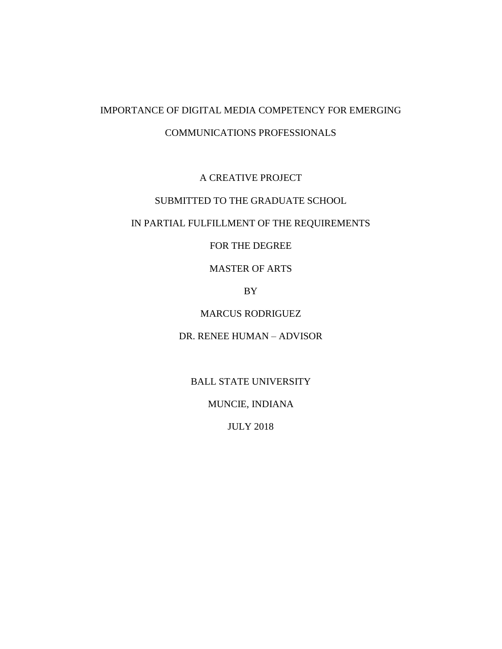# IMPORTANCE OF DIGITAL MEDIA COMPETENCY FOR EMERGING COMMUNICATIONS PROFESSIONALS

# A CREATIVE PROJECT

# SUBMITTED TO THE GRADUATE SCHOOL

# IN PARTIAL FULFILLMENT OF THE REQUIREMENTS

# FOR THE DEGREE

# MASTER OF ARTS

# BY

# MARCUS RODRIGUEZ

## DR. RENEE HUMAN – ADVISOR

# BALL STATE UNIVERSITY

# MUNCIE, INDIANA

## JULY 2018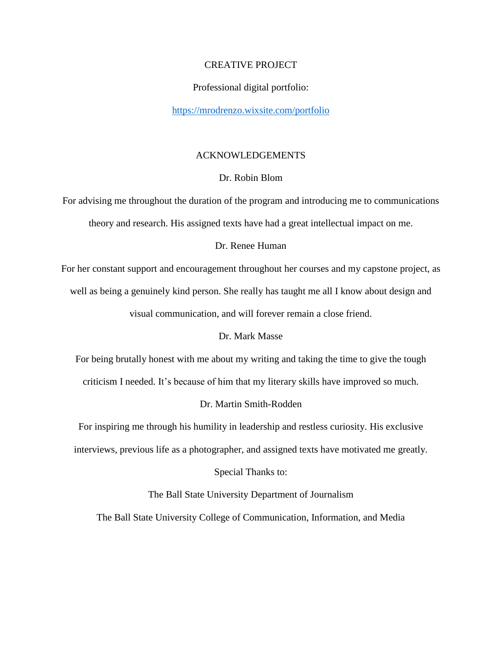#### CREATIVE PROJECT

#### Professional digital portfolio:

#### <https://mrodrenzo.wixsite.com/portfolio>

## ACKNOWLEDGEMENTS

## Dr. Robin Blom

For advising me throughout the duration of the program and introducing me to communications theory and research. His assigned texts have had a great intellectual impact on me.

## Dr. Renee Human

For her constant support and encouragement throughout her courses and my capstone project, as

well as being a genuinely kind person. She really has taught me all I know about design and

visual communication, and will forever remain a close friend.

#### Dr. Mark Masse

For being brutally honest with me about my writing and taking the time to give the tough

criticism I needed. It's because of him that my literary skills have improved so much.

## Dr. Martin Smith-Rodden

For inspiring me through his humility in leadership and restless curiosity. His exclusive

interviews, previous life as a photographer, and assigned texts have motivated me greatly.

Special Thanks to:

The Ball State University Department of Journalism

The Ball State University College of Communication, Information, and Media